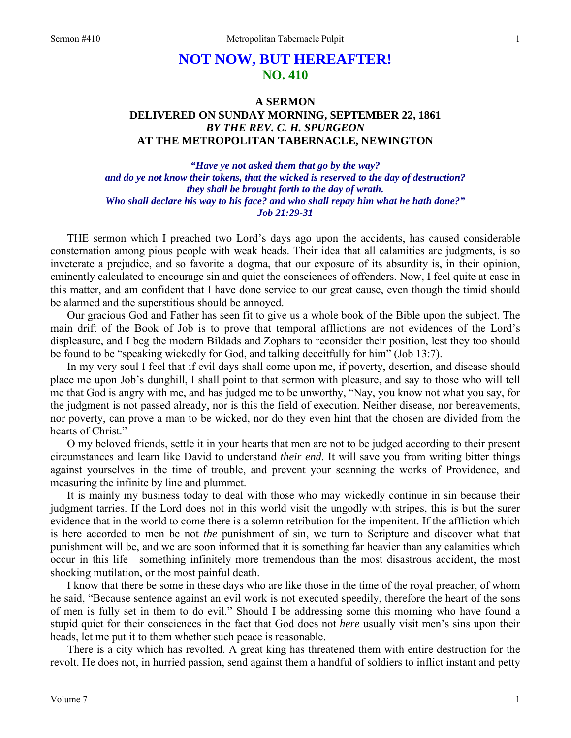# **NOT NOW, BUT HEREAFTER! NO. 410**

## **A SERMON DELIVERED ON SUNDAY MORNING, SEPTEMBER 22, 1861**  *BY THE REV. C. H. SPURGEON*  **AT THE METROPOLITAN TABERNACLE, NEWINGTON**

*"Have ye not asked them that go by the way? and do ye not know their tokens, that the wicked is reserved to the day of destruction? they shall be brought forth to the day of wrath. Who shall declare his way to his face? and who shall repay him what he hath done?" Job 21:29-31* 

THE sermon which I preached two Lord's days ago upon the accidents, has caused considerable consternation among pious people with weak heads. Their idea that all calamities are judgments, is so inveterate a prejudice, and so favorite a dogma, that our exposure of its absurdity is, in their opinion, eminently calculated to encourage sin and quiet the consciences of offenders. Now, I feel quite at ease in this matter, and am confident that I have done service to our great cause, even though the timid should be alarmed and the superstitious should be annoyed.

Our gracious God and Father has seen fit to give us a whole book of the Bible upon the subject. The main drift of the Book of Job is to prove that temporal afflictions are not evidences of the Lord's displeasure, and I beg the modern Bildads and Zophars to reconsider their position, lest they too should be found to be "speaking wickedly for God, and talking deceitfully for him" (Job 13:7).

In my very soul I feel that if evil days shall come upon me, if poverty, desertion, and disease should place me upon Job's dunghill, I shall point to that sermon with pleasure, and say to those who will tell me that God is angry with me, and has judged me to be unworthy, "Nay, you know not what you say, for the judgment is not passed already, nor is this the field of execution. Neither disease, nor bereavements, nor poverty, can prove a man to be wicked, nor do they even hint that the chosen are divided from the hearts of Christ."

O my beloved friends, settle it in your hearts that men are not to be judged according to their present circumstances and learn like David to understand *their end*. It will save you from writing bitter things against yourselves in the time of trouble, and prevent your scanning the works of Providence, and measuring the infinite by line and plummet.

It is mainly my business today to deal with those who may wickedly continue in sin because their judgment tarries. If the Lord does not in this world visit the ungodly with stripes, this is but the surer evidence that in the world to come there is a solemn retribution for the impenitent. If the affliction which is here accorded to men be not *the* punishment of sin, we turn to Scripture and discover what that punishment will be, and we are soon informed that it is something far heavier than any calamities which occur in this life—something infinitely more tremendous than the most disastrous accident, the most shocking mutilation, or the most painful death.

I know that there be some in these days who are like those in the time of the royal preacher, of whom he said, "Because sentence against an evil work is not executed speedily, therefore the heart of the sons of men is fully set in them to do evil." Should I be addressing some this morning who have found a stupid quiet for their consciences in the fact that God does not *here* usually visit men's sins upon their heads, let me put it to them whether such peace is reasonable.

There is a city which has revolted. A great king has threatened them with entire destruction for the revolt. He does not, in hurried passion, send against them a handful of soldiers to inflict instant and petty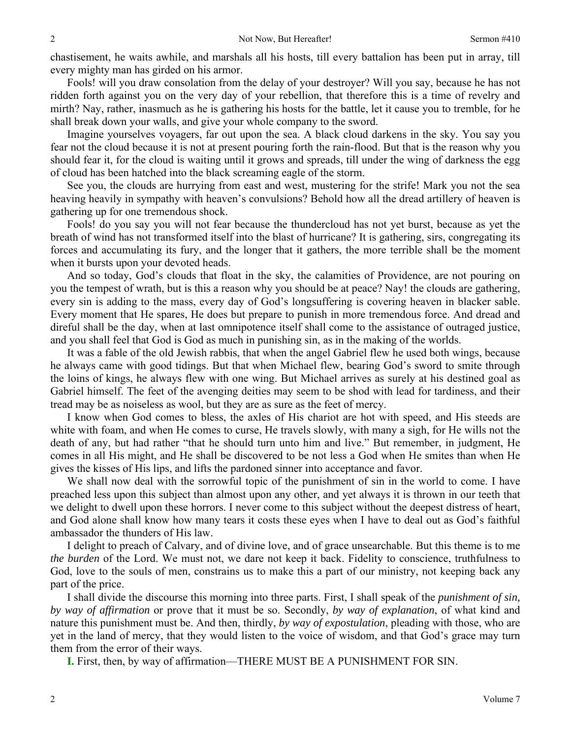chastisement, he waits awhile, and marshals all his hosts, till every battalion has been put in array, till every mighty man has girded on his armor.

Fools! will you draw consolation from the delay of your destroyer? Will you say, because he has not ridden forth against you on the very day of your rebellion, that therefore this is a time of revelry and mirth? Nay, rather, inasmuch as he is gathering his hosts for the battle, let it cause you to tremble, for he shall break down your walls, and give your whole company to the sword.

Imagine yourselves voyagers, far out upon the sea. A black cloud darkens in the sky. You say you fear not the cloud because it is not at present pouring forth the rain-flood. But that is the reason why you should fear it, for the cloud is waiting until it grows and spreads, till under the wing of darkness the egg of cloud has been hatched into the black screaming eagle of the storm.

See you, the clouds are hurrying from east and west, mustering for the strife! Mark you not the sea heaving heavily in sympathy with heaven's convulsions? Behold how all the dread artillery of heaven is gathering up for one tremendous shock.

Fools! do you say you will not fear because the thundercloud has not yet burst, because as yet the breath of wind has not transformed itself into the blast of hurricane? It is gathering, sirs, congregating its forces and accumulating its fury, and the longer that it gathers, the more terrible shall be the moment when it bursts upon your devoted heads.

And so today, God's clouds that float in the sky, the calamities of Providence, are not pouring on you the tempest of wrath, but is this a reason why you should be at peace? Nay! the clouds are gathering, every sin is adding to the mass, every day of God's longsuffering is covering heaven in blacker sable. Every moment that He spares, He does but prepare to punish in more tremendous force. And dread and direful shall be the day, when at last omnipotence itself shall come to the assistance of outraged justice, and you shall feel that God is God as much in punishing sin, as in the making of the worlds.

It was a fable of the old Jewish rabbis, that when the angel Gabriel flew he used both wings, because he always came with good tidings. But that when Michael flew, bearing God's sword to smite through the loins of kings, he always flew with one wing. But Michael arrives as surely at his destined goal as Gabriel himself. The feet of the avenging deities may seem to be shod with lead for tardiness, and their tread may be as noiseless as wool, but they are as sure as the feet of mercy.

I know when God comes to bless, the axles of His chariot are hot with speed, and His steeds are white with foam, and when He comes to curse, He travels slowly, with many a sigh, for He wills not the death of any, but had rather "that he should turn unto him and live." But remember, in judgment, He comes in all His might, and He shall be discovered to be not less a God when He smites than when He gives the kisses of His lips, and lifts the pardoned sinner into acceptance and favor.

We shall now deal with the sorrowful topic of the punishment of sin in the world to come. I have preached less upon this subject than almost upon any other, and yet always it is thrown in our teeth that we delight to dwell upon these horrors. I never come to this subject without the deepest distress of heart, and God alone shall know how many tears it costs these eyes when I have to deal out as God's faithful ambassador the thunders of His law.

I delight to preach of Calvary, and of divine love, and of grace unsearchable. But this theme is to me *the burden* of the Lord. We must not, we dare not keep it back. Fidelity to conscience, truthfulness to God, love to the souls of men, constrains us to make this a part of our ministry, not keeping back any part of the price.

I shall divide the discourse this morning into three parts. First, I shall speak of the *punishment of sin, by way of affirmation* or prove that it must be so. Secondly, *by way of explanation*, of what kind and nature this punishment must be. And then, thirdly, *by way of expostulation*, pleading with those, who are yet in the land of mercy, that they would listen to the voice of wisdom, and that God's grace may turn them from the error of their ways.

**I.** First, then, by way of affirmation—THERE MUST BE A PUNISHMENT FOR SIN.

2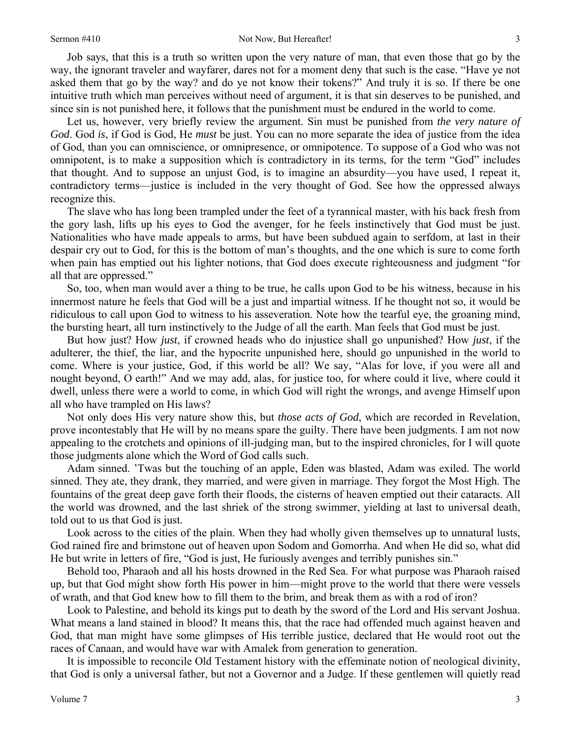### Sermon #410 Not Now, But Hereafter!

3

Job says, that this is a truth so written upon the very nature of man, that even those that go by the way, the ignorant traveler and wayfarer, dares not for a moment deny that such is the case. "Have ye not asked them that go by the way? and do ye not know their tokens?" And truly it is so. If there be one intuitive truth which man perceives without need of argument, it is that sin deserves to be punished, and since sin is not punished here, it follows that the punishment must be endured in the world to come.

Let us, however, very briefly review the argument. Sin must be punished from *the very nature of God*. God *is*, if God is God, He *must* be just. You can no more separate the idea of justice from the idea of God, than you can omniscience, or omnipresence, or omnipotence. To suppose of a God who was not omnipotent, is to make a supposition which is contradictory in its terms, for the term "God" includes that thought. And to suppose an unjust God, is to imagine an absurdity—you have used, I repeat it, contradictory terms—justice is included in the very thought of God. See how the oppressed always recognize this.

The slave who has long been trampled under the feet of a tyrannical master, with his back fresh from the gory lash, lifts up his eyes to God the avenger, for he feels instinctively that God must be just. Nationalities who have made appeals to arms, but have been subdued again to serfdom, at last in their despair cry out to God, for this is the bottom of man's thoughts, and the one which is sure to come forth when pain has emptied out his lighter notions, that God does execute righteousness and judgment "for all that are oppressed."

So, too, when man would aver a thing to be true, he calls upon God to be his witness, because in his innermost nature he feels that God will be a just and impartial witness. If he thought not so, it would be ridiculous to call upon God to witness to his asseveration. Note how the tearful eye, the groaning mind, the bursting heart, all turn instinctively to the Judge of all the earth. Man feels that God must be just.

But how just? How *just*, if crowned heads who do injustice shall go unpunished? How *just*, if the adulterer, the thief, the liar, and the hypocrite unpunished here, should go unpunished in the world to come. Where is your justice, God, if this world be all? We say, "Alas for love, if you were all and nought beyond, O earth!" And we may add, alas, for justice too, for where could it live, where could it dwell, unless there were a world to come, in which God will right the wrongs, and avenge Himself upon all who have trampled on His laws?

Not only does His very nature show this, but *those acts of God*, which are recorded in Revelation, prove incontestably that He will by no means spare the guilty. There have been judgments. I am not now appealing to the crotchets and opinions of ill-judging man, but to the inspired chronicles, for I will quote those judgments alone which the Word of God calls such.

Adam sinned. 'Twas but the touching of an apple, Eden was blasted, Adam was exiled. The world sinned. They ate, they drank, they married, and were given in marriage. They forgot the Most High. The fountains of the great deep gave forth their floods, the cisterns of heaven emptied out their cataracts. All the world was drowned, and the last shriek of the strong swimmer, yielding at last to universal death, told out to us that God is just.

Look across to the cities of the plain. When they had wholly given themselves up to unnatural lusts, God rained fire and brimstone out of heaven upon Sodom and Gomorrha. And when He did so, what did He but write in letters of fire, "God is just, He furiously avenges and terribly punishes sin."

Behold too, Pharaoh and all his hosts drowned in the Red Sea. For what purpose was Pharaoh raised up, but that God might show forth His power in him—might prove to the world that there were vessels of wrath, and that God knew how to fill them to the brim, and break them as with a rod of iron?

Look to Palestine, and behold its kings put to death by the sword of the Lord and His servant Joshua. What means a land stained in blood? It means this, that the race had offended much against heaven and God, that man might have some glimpses of His terrible justice, declared that He would root out the races of Canaan, and would have war with Amalek from generation to generation.

It is impossible to reconcile Old Testament history with the effeminate notion of neological divinity, that God is only a universal father, but not a Governor and a Judge. If these gentlemen will quietly read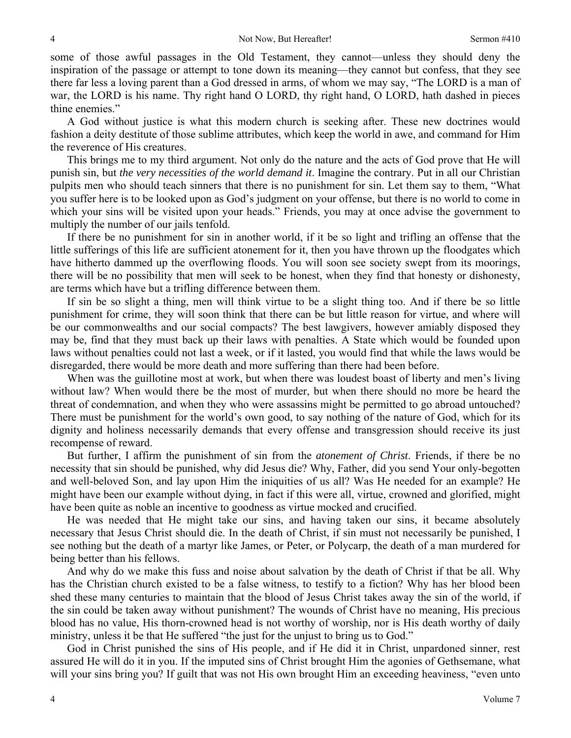some of those awful passages in the Old Testament, they cannot—unless they should deny the inspiration of the passage or attempt to tone down its meaning—they cannot but confess, that they see there far less a loving parent than a God dressed in arms, of whom we may say, "The LORD is a man of war, the LORD is his name. Thy right hand O LORD, thy right hand, O LORD, hath dashed in pieces thine enemies."

A God without justice is what this modern church is seeking after. These new doctrines would fashion a deity destitute of those sublime attributes, which keep the world in awe, and command for Him the reverence of His creatures.

This brings me to my third argument. Not only do the nature and the acts of God prove that He will punish sin, but *the very necessities of the world demand it*. Imagine the contrary. Put in all our Christian pulpits men who should teach sinners that there is no punishment for sin. Let them say to them, "What you suffer here is to be looked upon as God's judgment on your offense, but there is no world to come in which your sins will be visited upon your heads." Friends, you may at once advise the government to multiply the number of our jails tenfold.

If there be no punishment for sin in another world, if it be so light and trifling an offense that the little sufferings of this life are sufficient atonement for it, then you have thrown up the floodgates which have hitherto dammed up the overflowing floods. You will soon see society swept from its moorings, there will be no possibility that men will seek to be honest, when they find that honesty or dishonesty, are terms which have but a trifling difference between them.

If sin be so slight a thing, men will think virtue to be a slight thing too. And if there be so little punishment for crime, they will soon think that there can be but little reason for virtue, and where will be our commonwealths and our social compacts? The best lawgivers, however amiably disposed they may be, find that they must back up their laws with penalties. A State which would be founded upon laws without penalties could not last a week, or if it lasted, you would find that while the laws would be disregarded, there would be more death and more suffering than there had been before.

When was the guillotine most at work, but when there was loudest boast of liberty and men's living without law? When would there be the most of murder, but when there should no more be heard the threat of condemnation, and when they who were assassins might be permitted to go abroad untouched? There must be punishment for the world's own good, to say nothing of the nature of God, which for its dignity and holiness necessarily demands that every offense and transgression should receive its just recompense of reward.

But further, I affirm the punishment of sin from the *atonement of Christ*. Friends, if there be no necessity that sin should be punished, why did Jesus die? Why, Father, did you send Your only-begotten and well-beloved Son, and lay upon Him the iniquities of us all? Was He needed for an example? He might have been our example without dying, in fact if this were all, virtue, crowned and glorified, might have been quite as noble an incentive to goodness as virtue mocked and crucified.

He was needed that He might take our sins, and having taken our sins, it became absolutely necessary that Jesus Christ should die. In the death of Christ, if sin must not necessarily be punished, I see nothing but the death of a martyr like James, or Peter, or Polycarp, the death of a man murdered for being better than his fellows.

And why do we make this fuss and noise about salvation by the death of Christ if that be all. Why has the Christian church existed to be a false witness, to testify to a fiction? Why has her blood been shed these many centuries to maintain that the blood of Jesus Christ takes away the sin of the world, if the sin could be taken away without punishment? The wounds of Christ have no meaning, His precious blood has no value, His thorn-crowned head is not worthy of worship, nor is His death worthy of daily ministry, unless it be that He suffered "the just for the unjust to bring us to God."

God in Christ punished the sins of His people, and if He did it in Christ, unpardoned sinner, rest assured He will do it in you. If the imputed sins of Christ brought Him the agonies of Gethsemane, what will your sins bring you? If guilt that was not His own brought Him an exceeding heaviness, "even unto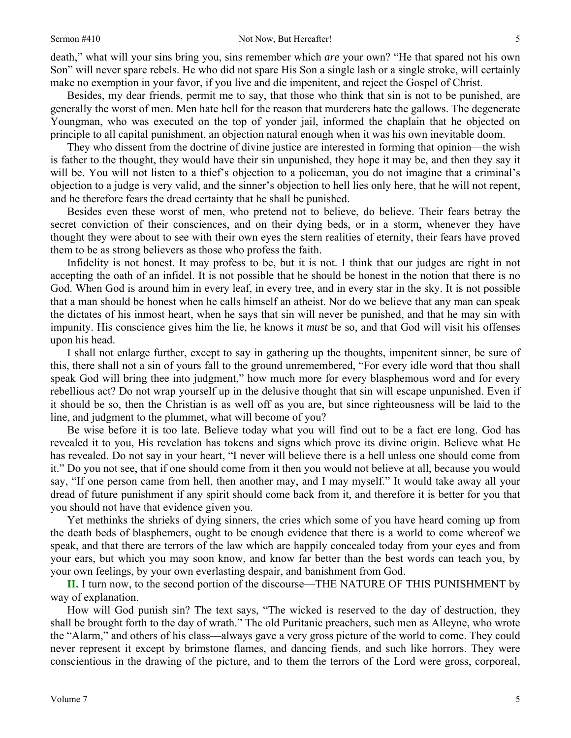### Sermon #410 Not Now, But Hereafter!

death," what will your sins bring you, sins remember which *are* your own? "He that spared not his own Son" will never spare rebels. He who did not spare His Son a single lash or a single stroke, will certainly make no exemption in your favor, if you live and die impenitent, and reject the Gospel of Christ.

Besides, my dear friends, permit me to say, that those who think that sin is not to be punished, are generally the worst of men. Men hate hell for the reason that murderers hate the gallows. The degenerate Youngman, who was executed on the top of yonder jail, informed the chaplain that he objected on principle to all capital punishment, an objection natural enough when it was his own inevitable doom.

They who dissent from the doctrine of divine justice are interested in forming that opinion—the wish is father to the thought, they would have their sin unpunished, they hope it may be, and then they say it will be. You will not listen to a thief's objection to a policeman, you do not imagine that a criminal's objection to a judge is very valid, and the sinner's objection to hell lies only here, that he will not repent, and he therefore fears the dread certainty that he shall be punished.

Besides even these worst of men, who pretend not to believe, do believe. Their fears betray the secret conviction of their consciences, and on their dying beds, or in a storm, whenever they have thought they were about to see with their own eyes the stern realities of eternity, their fears have proved them to be as strong believers as those who profess the faith.

Infidelity is not honest. It may profess to be, but it is not. I think that our judges are right in not accepting the oath of an infidel. It is not possible that he should be honest in the notion that there is no God. When God is around him in every leaf, in every tree, and in every star in the sky. It is not possible that a man should be honest when he calls himself an atheist. Nor do we believe that any man can speak the dictates of his inmost heart, when he says that sin will never be punished, and that he may sin with impunity. His conscience gives him the lie, he knows it *must* be so, and that God will visit his offenses upon his head.

I shall not enlarge further, except to say in gathering up the thoughts, impenitent sinner, be sure of this, there shall not a sin of yours fall to the ground unremembered, "For every idle word that thou shall speak God will bring thee into judgment," how much more for every blasphemous word and for every rebellious act? Do not wrap yourself up in the delusive thought that sin will escape unpunished. Even if it should be so, then the Christian is as well off as you are, but since righteousness will be laid to the line, and judgment to the plummet, what will become of you?

Be wise before it is too late. Believe today what you will find out to be a fact ere long. God has revealed it to you, His revelation has tokens and signs which prove its divine origin. Believe what He has revealed. Do not say in your heart, "I never will believe there is a hell unless one should come from it." Do you not see, that if one should come from it then you would not believe at all, because you would say, "If one person came from hell, then another may, and I may myself." It would take away all your dread of future punishment if any spirit should come back from it, and therefore it is better for you that you should not have that evidence given you.

Yet methinks the shrieks of dying sinners, the cries which some of you have heard coming up from the death beds of blasphemers, ought to be enough evidence that there is a world to come whereof we speak, and that there are terrors of the law which are happily concealed today from your eyes and from your ears, but which you may soon know, and know far better than the best words can teach you, by your own feelings, by your own everlasting despair, and banishment from God.

**II.** I turn now, to the second portion of the discourse—THE NATURE OF THIS PUNISHMENT by way of explanation.

How will God punish sin? The text says, "The wicked is reserved to the day of destruction, they shall be brought forth to the day of wrath." The old Puritanic preachers, such men as Alleyne, who wrote the "Alarm," and others of his class—always gave a very gross picture of the world to come. They could never represent it except by brimstone flames, and dancing fiends, and such like horrors. They were conscientious in the drawing of the picture, and to them the terrors of the Lord were gross, corporeal,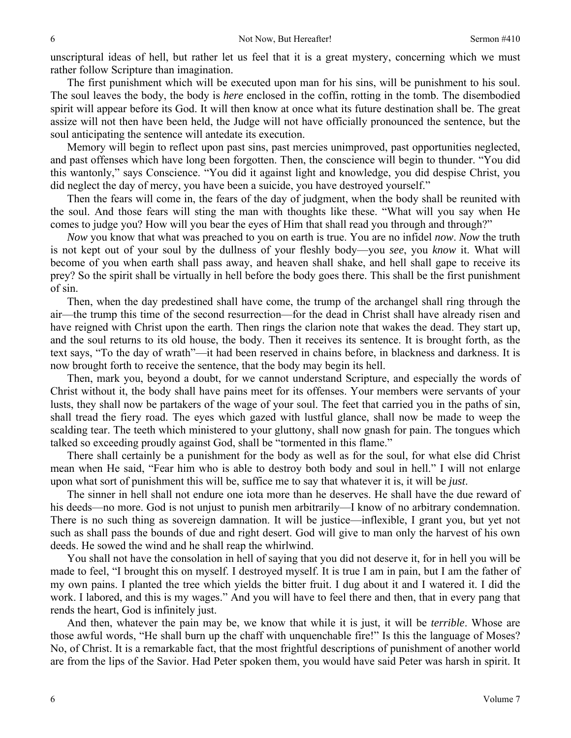unscriptural ideas of hell, but rather let us feel that it is a great mystery, concerning which we must rather follow Scripture than imagination.

The first punishment which will be executed upon man for his sins, will be punishment to his soul. The soul leaves the body, the body is *here* enclosed in the coffin, rotting in the tomb. The disembodied spirit will appear before its God. It will then know at once what its future destination shall be. The great assize will not then have been held, the Judge will not have officially pronounced the sentence, but the soul anticipating the sentence will antedate its execution.

Memory will begin to reflect upon past sins, past mercies unimproved, past opportunities neglected, and past offenses which have long been forgotten. Then, the conscience will begin to thunder. "You did this wantonly," says Conscience. "You did it against light and knowledge, you did despise Christ, you did neglect the day of mercy, you have been a suicide, you have destroyed yourself."

Then the fears will come in, the fears of the day of judgment, when the body shall be reunited with the soul. And those fears will sting the man with thoughts like these. "What will you say when He comes to judge you? How will you bear the eyes of Him that shall read you through and through?"

*Now* you know that what was preached to you on earth is true. You are no infidel *now*. *Now* the truth is not kept out of your soul by the dullness of your fleshly body—you *see*, you *know* it. What will become of you when earth shall pass away, and heaven shall shake, and hell shall gape to receive its prey? So the spirit shall be virtually in hell before the body goes there. This shall be the first punishment of sin.

Then, when the day predestined shall have come, the trump of the archangel shall ring through the air—the trump this time of the second resurrection—for the dead in Christ shall have already risen and have reigned with Christ upon the earth. Then rings the clarion note that wakes the dead. They start up, and the soul returns to its old house, the body. Then it receives its sentence. It is brought forth, as the text says, "To the day of wrath"—it had been reserved in chains before, in blackness and darkness. It is now brought forth to receive the sentence, that the body may begin its hell.

Then, mark you, beyond a doubt, for we cannot understand Scripture, and especially the words of Christ without it, the body shall have pains meet for its offenses. Your members were servants of your lusts, they shall now be partakers of the wage of your soul. The feet that carried you in the paths of sin, shall tread the fiery road. The eyes which gazed with lustful glance, shall now be made to weep the scalding tear. The teeth which ministered to your gluttony, shall now gnash for pain. The tongues which talked so exceeding proudly against God, shall be "tormented in this flame."

There shall certainly be a punishment for the body as well as for the soul, for what else did Christ mean when He said, "Fear him who is able to destroy both body and soul in hell." I will not enlarge upon what sort of punishment this will be, suffice me to say that whatever it is, it will be *just*.

The sinner in hell shall not endure one iota more than he deserves. He shall have the due reward of his deeds—no more. God is not unjust to punish men arbitrarily—I know of no arbitrary condemnation. There is no such thing as sovereign damnation. It will be justice—inflexible, I grant you, but yet not such as shall pass the bounds of due and right desert. God will give to man only the harvest of his own deeds. He sowed the wind and he shall reap the whirlwind.

You shall not have the consolation in hell of saying that you did not deserve it, for in hell you will be made to feel, "I brought this on myself. I destroyed myself. It is true I am in pain, but I am the father of my own pains. I planted the tree which yields the bitter fruit. I dug about it and I watered it. I did the work. I labored, and this is my wages." And you will have to feel there and then, that in every pang that rends the heart, God is infinitely just.

And then, whatever the pain may be, we know that while it is just, it will be *terrible*. Whose are those awful words, "He shall burn up the chaff with unquenchable fire!" Is this the language of Moses? No, of Christ. It is a remarkable fact, that the most frightful descriptions of punishment of another world are from the lips of the Savior. Had Peter spoken them, you would have said Peter was harsh in spirit. It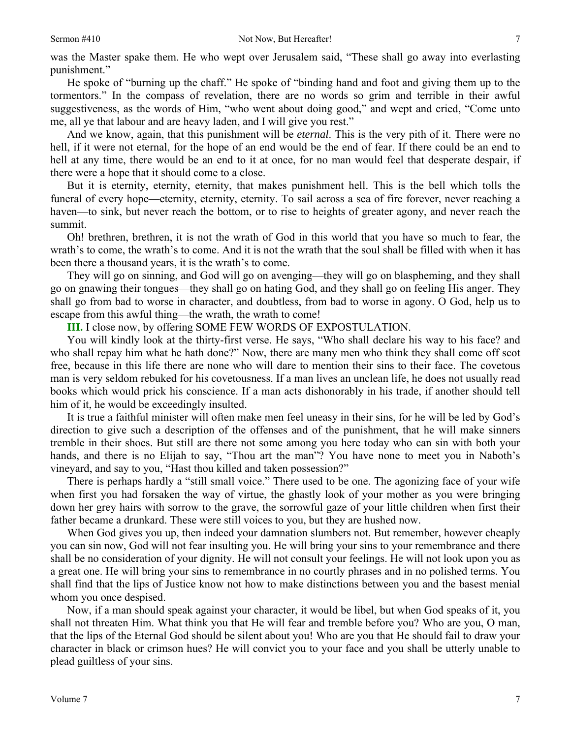7

was the Master spake them. He who wept over Jerusalem said, "These shall go away into everlasting punishment."

He spoke of "burning up the chaff." He spoke of "binding hand and foot and giving them up to the tormentors." In the compass of revelation, there are no words so grim and terrible in their awful suggestiveness, as the words of Him, "who went about doing good," and wept and cried, "Come unto me, all ye that labour and are heavy laden, and I will give you rest."

And we know, again, that this punishment will be *eternal*. This is the very pith of it. There were no hell, if it were not eternal, for the hope of an end would be the end of fear. If there could be an end to hell at any time, there would be an end to it at once, for no man would feel that desperate despair, if there were a hope that it should come to a close.

But it is eternity, eternity, eternity, that makes punishment hell. This is the bell which tolls the funeral of every hope—eternity, eternity, eternity. To sail across a sea of fire forever, never reaching a haven—to sink, but never reach the bottom, or to rise to heights of greater agony, and never reach the summit.

Oh! brethren, brethren, it is not the wrath of God in this world that you have so much to fear, the wrath's to come, the wrath's to come. And it is not the wrath that the soul shall be filled with when it has been there a thousand years, it is the wrath's to come.

They will go on sinning, and God will go on avenging—they will go on blaspheming, and they shall go on gnawing their tongues—they shall go on hating God, and they shall go on feeling His anger. They shall go from bad to worse in character, and doubtless, from bad to worse in agony. O God, help us to escape from this awful thing—the wrath, the wrath to come!

**III.** I close now, by offering SOME FEW WORDS OF EXPOSTULATION.

You will kindly look at the thirty-first verse. He says, "Who shall declare his way to his face? and who shall repay him what he hath done?" Now, there are many men who think they shall come off scot free, because in this life there are none who will dare to mention their sins to their face. The covetous man is very seldom rebuked for his covetousness. If a man lives an unclean life, he does not usually read books which would prick his conscience. If a man acts dishonorably in his trade, if another should tell him of it, he would be exceedingly insulted.

It is true a faithful minister will often make men feel uneasy in their sins, for he will be led by God's direction to give such a description of the offenses and of the punishment, that he will make sinners tremble in their shoes. But still are there not some among you here today who can sin with both your hands, and there is no Elijah to say, "Thou art the man"? You have none to meet you in Naboth's vineyard, and say to you, "Hast thou killed and taken possession?"

There is perhaps hardly a "still small voice." There used to be one. The agonizing face of your wife when first you had forsaken the way of virtue, the ghastly look of your mother as you were bringing down her grey hairs with sorrow to the grave, the sorrowful gaze of your little children when first their father became a drunkard. These were still voices to you, but they are hushed now.

When God gives you up, then indeed your damnation slumbers not. But remember, however cheaply you can sin now, God will not fear insulting you. He will bring your sins to your remembrance and there shall be no consideration of your dignity. He will not consult your feelings. He will not look upon you as a great one. He will bring your sins to remembrance in no courtly phrases and in no polished terms. You shall find that the lips of Justice know not how to make distinctions between you and the basest menial whom you once despised.

Now, if a man should speak against your character, it would be libel, but when God speaks of it, you shall not threaten Him. What think you that He will fear and tremble before you? Who are you, O man, that the lips of the Eternal God should be silent about you! Who are you that He should fail to draw your character in black or crimson hues? He will convict you to your face and you shall be utterly unable to plead guiltless of your sins.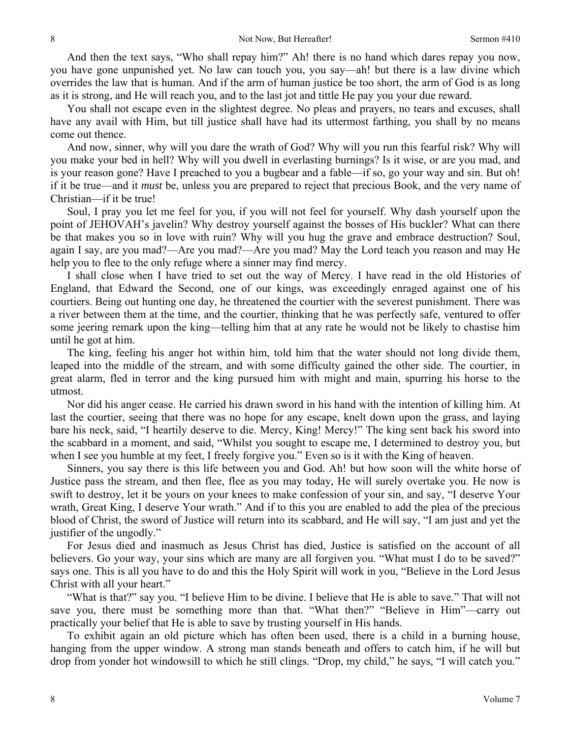And then the text says, "Who shall repay him?" Ah! there is no hand which dares repay you now, you have gone unpunished yet. No law can touch you, you say—ah! but there is a law divine which overrides the law that is human. And if the arm of human justice be too short, the arm of God is as long as it is strong, and He will reach you, and to the last jot and tittle He pay you your due reward.

You shall not escape even in the slightest degree. No pleas and prayers, no tears and excuses, shall have any avail with Him, but till justice shall have had its uttermost farthing, you shall by no means come out thence.

And now, sinner, why will you dare the wrath of God? Why will you run this fearful risk? Why will you make your bed in hell? Why will you dwell in everlasting burnings? Is it wise, or are you mad, and is your reason gone? Have I preached to you a bugbear and a fable—if so, go your way and sin. But oh! if it be true—and it *must* be, unless you are prepared to reject that precious Book, and the very name of Christian—if it be true!

Soul, I pray you let me feel for you, if you will not feel for yourself. Why dash yourself upon the point of JEHOVAH's javelin? Why destroy yourself against the bosses of His buckler? What can there be that makes you so in love with ruin? Why will you hug the grave and embrace destruction? Soul, again I say, are you mad?—Are you mad?—Are you mad? May the Lord teach you reason and may He help you to flee to the only refuge where a sinner may find mercy.

I shall close when I have tried to set out the way of Mercy. I have read in the old Histories of England, that Edward the Second, one of our kings, was exceedingly enraged against one of his courtiers. Being out hunting one day, he threatened the courtier with the severest punishment. There was a river between them at the time, and the courtier, thinking that he was perfectly safe, ventured to offer some jeering remark upon the king—telling him that at any rate he would not be likely to chastise him until he got at him.

The king, feeling his anger hot within him, told him that the water should not long divide them, leaped into the middle of the stream, and with some difficulty gained the other side. The courtier, in great alarm, fled in terror and the king pursued him with might and main, spurring his horse to the utmost.

Nor did his anger cease. He carried his drawn sword in his hand with the intention of killing him. At last the courtier, seeing that there was no hope for any escape, knelt down upon the grass, and laying bare his neck, said, "I heartily deserve to die. Mercy, King! Mercy!" The king sent back his sword into the scabbard in a moment, and said, "Whilst you sought to escape me, I determined to destroy you, but when I see you humble at my feet, I freely forgive you." Even so is it with the King of heaven.

Sinners, you say there is this life between you and God. Ah! but how soon will the white horse of Justice pass the stream, and then flee, flee as you may today, He will surely overtake you. He now is swift to destroy, let it be yours on your knees to make confession of your sin, and say, "I deserve Your wrath, Great King, I deserve Your wrath." And if to this you are enabled to add the plea of the precious blood of Christ, the sword of Justice will return into its scabbard, and He will say, "I am just and yet the justifier of the ungodly."

For Jesus died and inasmuch as Jesus Christ has died, Justice is satisfied on the account of all believers. Go your way, your sins which are many are all forgiven you. "What must I do to be saved?" says one. This is all you have to do and this the Holy Spirit will work in you, "Believe in the Lord Jesus Christ with all your heart."

"What is that?" say you. "I believe Him to be divine. I believe that He is able to save." That will not save you, there must be something more than that. "What then?" "Believe in Him"—carry out practically your belief that He is able to save by trusting yourself in His hands.

To exhibit again an old picture which has often been used, there is a child in a burning house, hanging from the upper window. A strong man stands beneath and offers to catch him, if he will but drop from yonder hot windowsill to which he still clings. "Drop, my child," he says, "I will catch you."

8

8